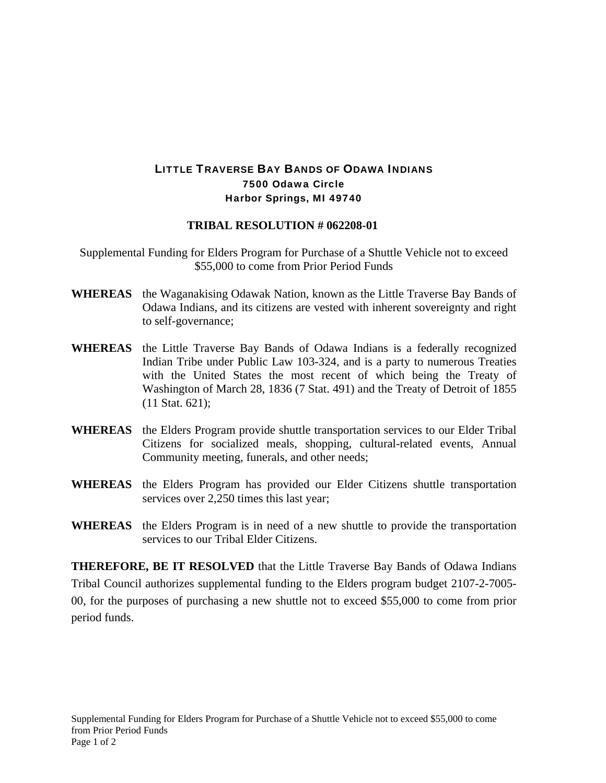## LITTLE TRAVERSE BAY BANDS OF ODAWA INDIANS 7500 Odawa Circle Harbor Springs, MI 49740

## **TRIBAL RESOLUTION # 062208-01**

Supplemental Funding for Elders Program for Purchase of a Shuttle Vehicle not to exceed \$55,000 to come from Prior Period Funds

- **WHEREAS** the Waganakising Odawak Nation, known as the Little Traverse Bay Bands of Odawa Indians, and its citizens are vested with inherent sovereignty and right to self-governance;
- **WHEREAS** the Little Traverse Bay Bands of Odawa Indians is a federally recognized Indian Tribe under Public Law 103-324, and is a party to numerous Treaties with the United States the most recent of which being the Treaty of Washington of March 28, 1836 (7 Stat. 491) and the Treaty of Detroit of 1855 (11 Stat. 621);
- **WHEREAS** the Elders Program provide shuttle transportation services to our Elder Tribal Citizens for socialized meals, shopping, cultural-related events, Annual Community meeting, funerals, and other needs;
- **WHEREAS** the Elders Program has provided our Elder Citizens shuttle transportation services over 2,250 times this last year;
- **WHEREAS** the Elders Program is in need of a new shuttle to provide the transportation services to our Tribal Elder Citizens.

**THEREFORE, BE IT RESOLVED** that the Little Traverse Bay Bands of Odawa Indians Tribal Council authorizes supplemental funding to the Elders program budget 2107-2-7005- 00, for the purposes of purchasing a new shuttle not to exceed \$55,000 to come from prior period funds.